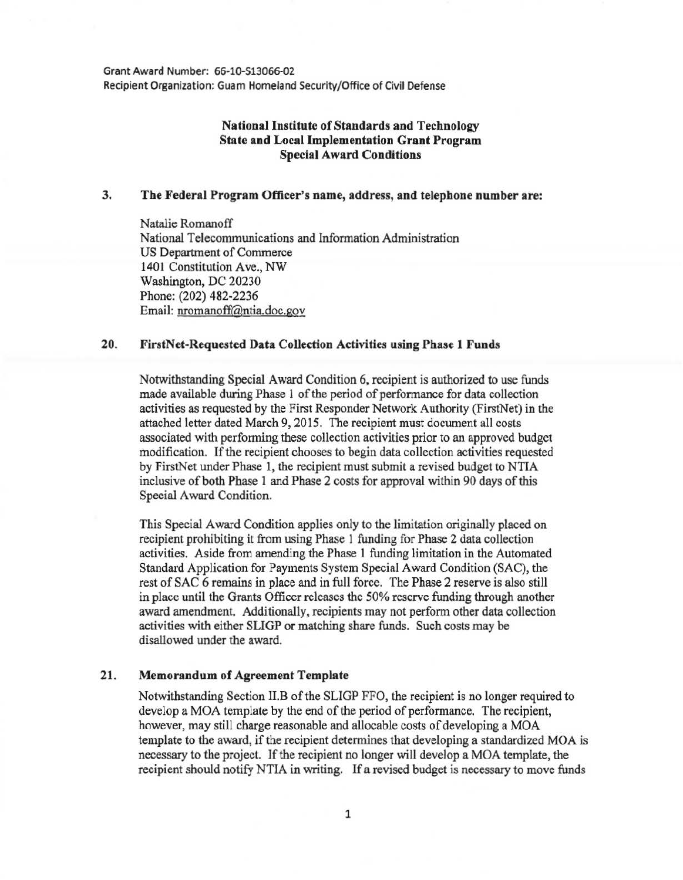Grant Award Number: 66-10-513066-02 Recipient Organization: Guam Homeland Security/Office of Civil Defense

# National Institute of Standards and Technology State and Local Implementation Grant Program Special Award Conditions

### 3. The Federal Program Officer's name, address, and telephone number are:

Natalie Romanoff National Telecommunications and Information Administration US Department of Commerce 1401 Constitution Ave., NW Washington, DC 20230 Phone: (202) 482-2236 Email: nromanoff@ntia.doc.gov

### 20. FirstNet-Requested Data Collection Activities using Phase 1 Funds

Notwithstanding Special Award Condition 6. recipient is authorized to use funds made available during Phase 1 of the period of performance for data collection activities as requested by the First Responder Network Authority (FirstNet) in the attached letter dated March 9, 2015. The recipient must document all costs associated with performing these collection activities prior to an approved budget modification. If the recipient chooses to begin data collection activities requested by FirstNet under Phase 1, the recipient must submit a revised budget to NTIA inclusive of both Phase 1 and Phase 2 costs for approval within 90 days of this Special Award Condition.

This Special Award Condition applies only to the limitation originally placed on recipient prohibiting it from using Phase 1 funding for Phase 2 data collection activities. Aside from amending the Phase 1 funding limitation in the Automated Standard Application for Payments System Special Award Condition (SAC), the rest of SAC 6 remains in place and in full force. The Phase 2 reserve is also still in place until the Grants Officer releases the 50% reserve funding through another award amendment. Additionally, recipients may not perform other data collection activities with either SLIGP or matching share funds. Such costs may be disallowed under the award.

#### 21. Memorandum of Agreement Template

Notwithstanding Section II.B of the SLIGP FFO, the recipient is no longer required to develop a MOA template by the end of the period of performance. The recipient, however, may still charge reasonable and allocable costs of developing a MOA template to the award, if the recipient determines that developing a standardized MOA is necessary to the project. If the recipient no longer will develop a MOA template, the recipient should notify NTIA in writing. If a revised budget is necessary to move funds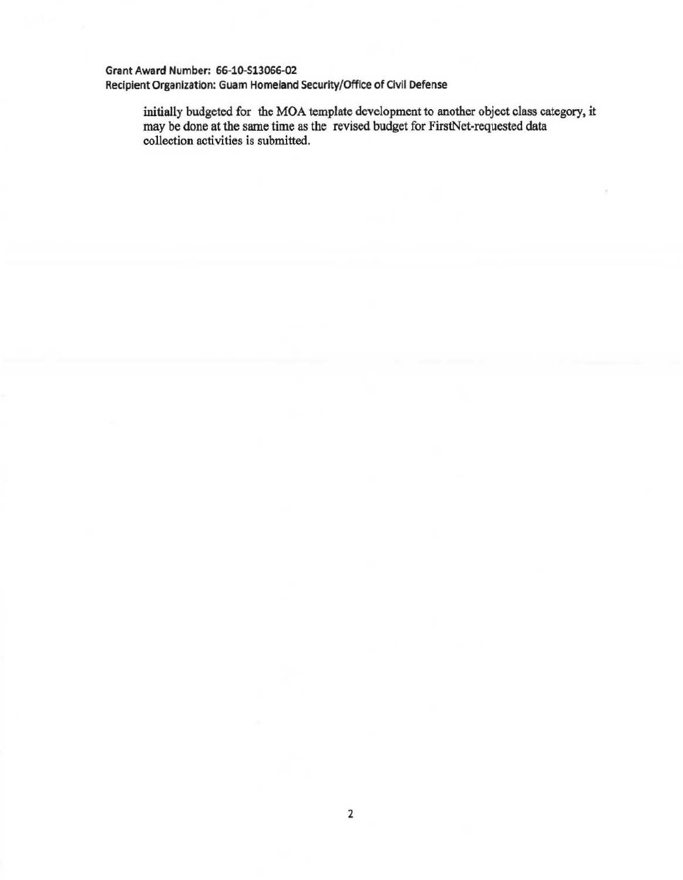# Grant Award Number: 66~10-513066-02 Recipient Organization: Guam Homeland Security/Office of Civil Defense

initially budgeted for the MOA template development to another object class category, it may be done at the same time as the revised budget for FirstNet-requested data collection activities is submitted.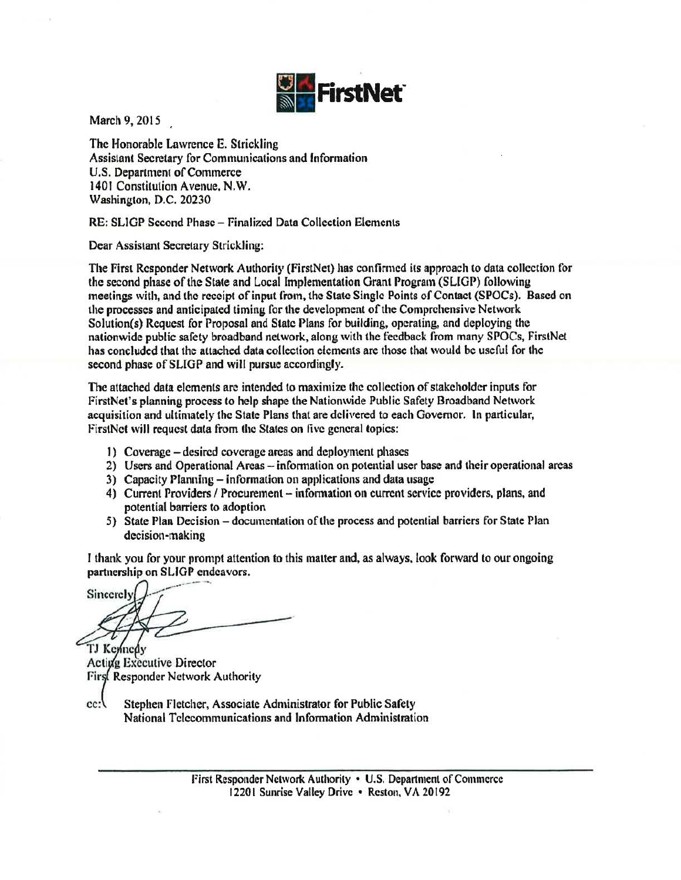

March 9, 2015

The Honorable Lawrence E. Strickling Assistant Secretary for Communications and fnfonnation U.S. Department of Commerce 1401 Constitution Avenue. N.W. Washington, D.C. 20230

RE: SLIGP Second Phase- Finalized Data Collection Elements

Dear Assistant Secretary Strickling:

The First Responder Network Authority (FirstNet) has confirmed its approach to data collection for the second phase of the State and Local Implementation Grant Program (SLIGP) following meetings with, and the receipt of input from, the State Single Points of Contact (SPOCs). Based on the processes and anticipated timing for the development of the Comprehensive Network Solution(s) Request for Proposal and State Plans for building, operating, and deploying the nationwide public safety broadband network, along with the tecdback from many SPOCs, FirstNet has concluded that the attached data collection elements are those that would be useful for the second phase of SLIGP and will pursue accordingly.

1be attached data elements are intended to maximize the collection of stakeholder inputs for FirstNet's planning process to help shape the Nationwide Public Safety Broadband Network acquisition and ultimately the State Plans that are delivered to each Governor. ln particular, FirstNet will request data from the States on five general topics:

- I) Coverage -desired coverage areas and deployment phases
- 2) Users and Operational Areas information on potential user base and their operational areas
- 3) Capacity Planning- information on applications and data usage
- 4) Current Providers / Procurement information on current service providers, plans, and potential barriers to adoption
- 5) State Plan Decision- documentation of the process and potential barriers for State Plan decision-making

I thank you for your prompt attention to this matter and, as always, look forward to our ongoing partnership on SLIGP endeavors.

Sincerely TJ Kennedy

**Active Executive Director** First Responder Network Authority

 $cc:$ Stephen Fletcher, Associate Administrator for Public Safety National Telecommunications and Information Administration